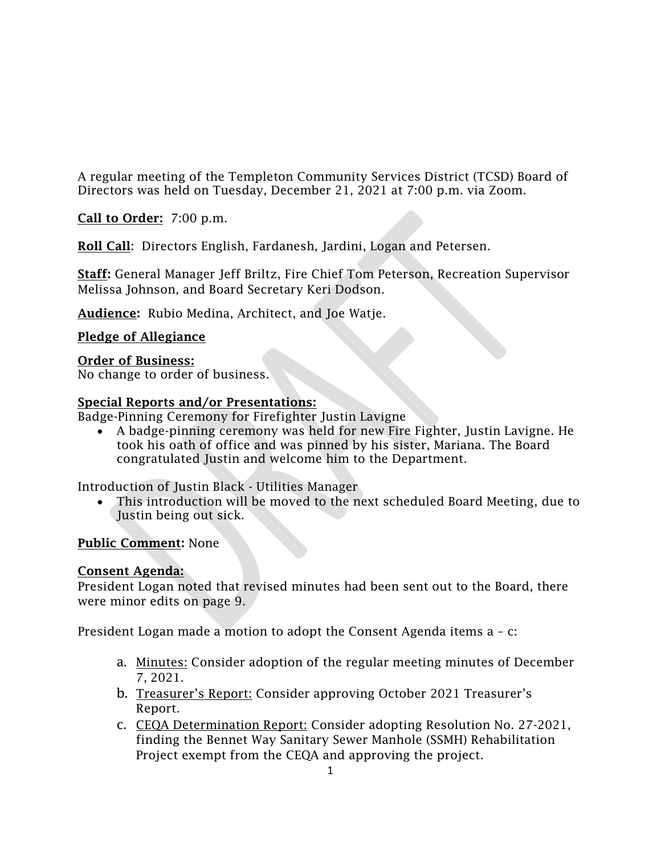A regular meeting of the Templeton Community Services District (TCSD) Board of Directors was held on Tuesday, December 21, 2021 at 7:00 p.m. via Zoom.

Call to Order: 7:00 p.m.

Roll Call: Directors English, Fardanesh, Jardini, Logan and Petersen.

Staff: General Manager Jeff Briltz, Fire Chief Tom Peterson, Recreation Supervisor Melissa Johnson, and Board Secretary Keri Dodson.

Audience: Rubio Medina, Architect, and Joe Watje.

# Pledge of Allegiance

Order of Business:

No change to order of business.

# Special Reports and/or Presentations:

Badge-Pinning Ceremony for Firefighter Justin Lavigne

• A badge-pinning ceremony was held for new Fire Fighter, Justin Lavigne. He took his oath of office and was pinned by his sister, Mariana. The Board congratulated Justin and welcome him to the Department.

Introduction of Justin Black - Utilities Manager

• This introduction will be moved to the next scheduled Board Meeting, due to Justin being out sick.

# Public Comment: None

#### Consent Agenda:

President Logan noted that revised minutes had been sent out to the Board, there were minor edits on page 9.

President Logan made a motion to adopt the Consent Agenda items a – c:

- a. Minutes: Consider adoption of the regular meeting minutes of December 7, 2021.
- b. Treasurer's Report: Consider approving October 2021 Treasurer's Report.
- c. CEQA Determination Report: Consider adopting Resolution No. 27-2021, finding the Bennet Way Sanitary Sewer Manhole (SSMH) Rehabilitation Project exempt from the CEQA and approving the project.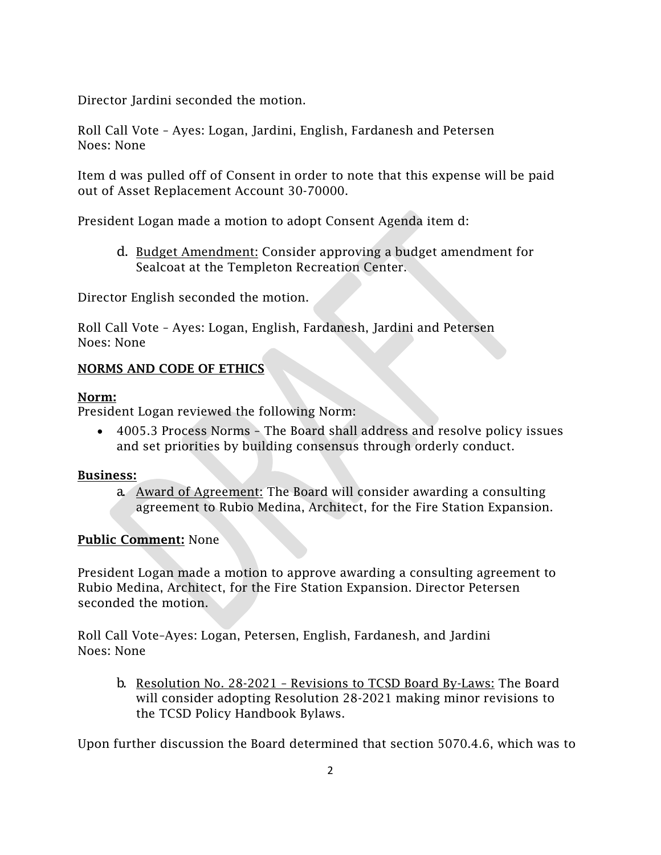Director Jardini seconded the motion.

Roll Call Vote – Ayes: Logan, Jardini, English, Fardanesh and Petersen Noes: None

Item d was pulled off of Consent in order to note that this expense will be paid out of Asset Replacement Account 30-70000.

President Logan made a motion to adopt Consent Agenda item d:

d. Budget Amendment: Consider approving a budget amendment for Sealcoat at the Templeton Recreation Center.

Director English seconded the motion.

Roll Call Vote – Ayes: Logan, English, Fardanesh, Jardini and Petersen Noes: None

#### NORMS AND CODE OF ETHICS

#### Norm:

President Logan reviewed the following Norm:

• 4005.3 Process Norms – The Board shall address and resolve policy issues and set priorities by building consensus through orderly conduct.

#### Business:

a. Award of Agreement: The Board will consider awarding a consulting agreement to Rubio Medina, Architect, for the Fire Station Expansion.

#### Public Comment: None

President Logan made a motion to approve awarding a consulting agreement to Rubio Medina, Architect, for the Fire Station Expansion. Director Petersen seconded the motion.

Roll Call Vote–Ayes: Logan, Petersen, English, Fardanesh, and Jardini Noes: None

b. Resolution No. 28-2021 – Revisions to TCSD Board By-Laws: The Board will consider adopting Resolution 28-2021 making minor revisions to the TCSD Policy Handbook Bylaws.

Upon further discussion the Board determined that section 5070.4.6, which was to